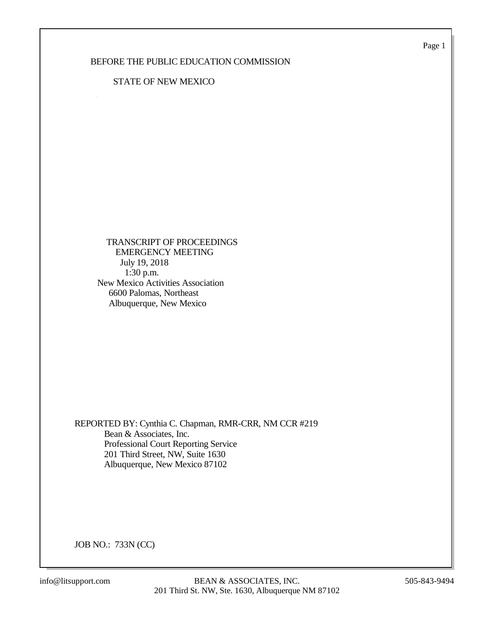Page 1

## BEFORE THE PUBLIC EDUCATION COMMISSION

## STATE OF NEW MEXICO

 TRANSCRIPT OF PROCEEDINGS EMERGENCY MEETING July 19, 2018 1:30 p.m. New Mexico Activities Association 6600 Palomas, Northeast Albuquerque, New Mexico

REPORTED BY: Cynthia C. Chapman, RMR-CRR, NM CCR #219 Bean & Associates, Inc. Professional Court Reporting Service 201 Third Street, NW, Suite 1630 Albuquerque, New Mexico 87102

JOB NO.: 733N (CC)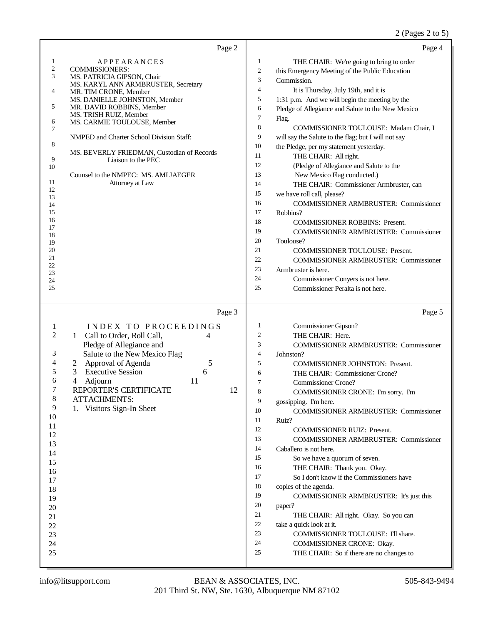| Page 2                                                                                                                                                                                                                                                                                                                                                                                                                                                                                                                                                                                                  | Page 4                                                                                                                                                                                                                                                                                                                                                                                                                                                                                                                                                                                                                                                                                                                                                                                                                                                                                                                                                                                                                                                                                                                       |
|---------------------------------------------------------------------------------------------------------------------------------------------------------------------------------------------------------------------------------------------------------------------------------------------------------------------------------------------------------------------------------------------------------------------------------------------------------------------------------------------------------------------------------------------------------------------------------------------------------|------------------------------------------------------------------------------------------------------------------------------------------------------------------------------------------------------------------------------------------------------------------------------------------------------------------------------------------------------------------------------------------------------------------------------------------------------------------------------------------------------------------------------------------------------------------------------------------------------------------------------------------------------------------------------------------------------------------------------------------------------------------------------------------------------------------------------------------------------------------------------------------------------------------------------------------------------------------------------------------------------------------------------------------------------------------------------------------------------------------------------|
| 1<br><b>APPEARANCES</b><br>$\boldsymbol{2}$<br><b>COMMISSIONERS:</b><br>3<br>MS. PATRICIA GIPSON, Chair<br>MS. KARYL ANN ARMBRUSTER, Secretary<br>4<br>MR. TIM CRONE, Member<br>MS. DANIELLE JOHNSTON, Member<br>5<br>MR. DAVID ROBBINS, Member<br>MS. TRISH RUIZ, Member<br>6<br>MS. CARMIE TOULOUSE, Member<br>7<br>NMPED and Charter School Division Staff:<br>8<br>MS. BEVERLY FRIEDMAN, Custodian of Records<br>9<br>Liaison to the PEC<br>10<br>Counsel to the NMPEC: MS. AMI JAEGER<br>11<br>Attorney at Law<br>12<br>13<br>14<br>15<br>16<br>17<br>18<br>19<br>20<br>21<br>22<br>23<br>24<br>25 | 1<br>THE CHAIR: We're going to bring to order<br>$\overline{c}$<br>this Emergency Meeting of the Public Education<br>3<br>Commission.<br>$\overline{4}$<br>It is Thursday, July 19th, and it is<br>5<br>1:31 p.m. And we will begin the meeting by the<br>6<br>Pledge of Allegiance and Salute to the New Mexico<br>7<br>Flag.<br>8<br>COMMISSIONER TOULOUSE: Madam Chair, I<br>9<br>will say the Salute to the flag; but I will not say<br>10<br>the Pledge, per my statement yesterday.<br>11<br>THE CHAIR: All right.<br>12<br>(Pledge of Allegiance and Salute to the<br>13<br>New Mexico Flag conducted.)<br>14<br>THE CHAIR: Commissioner Armbruster, can<br>15<br>we have roll call, please?<br>16<br><b>COMMISSIONER ARMBRUSTER: Commissioner</b><br>17<br>Robbins?<br>18<br><b>COMMISSIONER ROBBINS: Present.</b><br>19<br><b>COMMISSIONER ARMBRUSTER: Commissioner</b><br>20<br>Toulouse?<br>21<br><b>COMMISSIONER TOULOUSE: Present.</b><br>22<br><b>COMMISSIONER ARMBRUSTER: Commissioner</b><br>23<br>Armbruster is here.<br>24<br>Commissioner Conyers is not here.<br>25<br>Commissioner Peralta is not here. |
| Page 3<br>$\mathbf{1}$<br>INDEX TO PROCEEDINGS<br>2<br>Call to Order, Roll Call,<br>4<br>1<br>Pledge of Allegiance and<br>3<br>Salute to the New Mexico Flag<br>4<br>Approval of Agenda<br>5<br>2<br>5<br>3<br><b>Executive Session</b><br>6<br>6<br>4<br>Adjourn<br>11<br>7<br>REPORTER'S CERTIFICATE<br>12<br>$\,$ 8 $\,$<br><b>ATTACHMENTS:</b><br>9<br>1. Visitors Sign-In Sheet<br>10<br>11<br>12<br>13<br>14<br>15<br>16<br>17<br>18<br>19<br>20<br>21<br>22<br>23<br>24<br>25                                                                                                                    | Page 5<br>1<br>Commissioner Gipson?<br>2<br>THE CHAIR: Here.<br>3<br><b>COMMISSIONER ARMBRUSTER: Commissioner</b><br>$\overline{4}$<br>Johnston?<br>5<br><b>COMMISSIONER JOHNSTON: Present.</b><br>6<br>THE CHAIR: Commissioner Crone?<br>7<br><b>Commissioner Crone?</b><br>8<br>COMMISSIONER CRONE: I'm sorry. I'm<br>9<br>gossipping. I'm here.<br>10<br>COMMISSIONER ARMBRUSTER: Commissioner<br>11<br>Ruiz?<br>12<br><b>COMMISSIONER RUIZ: Present.</b><br>13<br><b>COMMISSIONER ARMBRUSTER: Commissioner</b><br>14<br>Caballero is not here.<br>15<br>So we have a quorum of seven.<br>16<br>THE CHAIR: Thank you. Okay.<br>17<br>So I don't know if the Commissioners have<br>18<br>copies of the agenda.<br>19<br>COMMISSIONER ARMBRUSTER: It's just this<br>20<br>paper?<br>21<br>THE CHAIR: All right. Okay. So you can<br>22<br>take a quick look at it.<br>23<br>COMMISSIONER TOULOUSE: I'll share.<br>24<br>COMMISSIONER CRONE: Okay.<br>25<br>THE CHAIR: So if there are no changes to                                                                                                                         |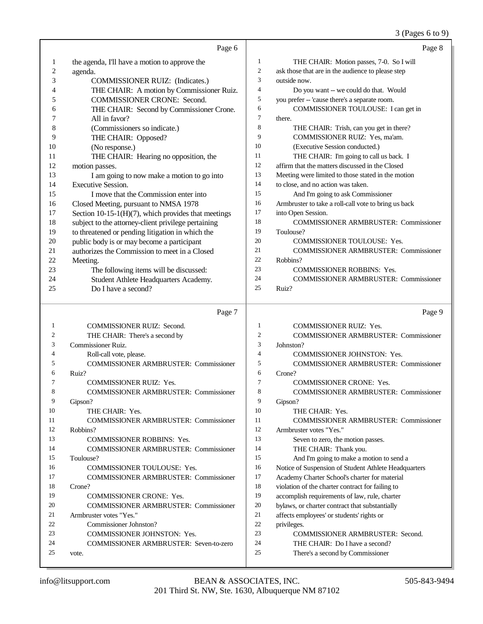|                | Page 6                                                  |                | Page 8                                                             |
|----------------|---------------------------------------------------------|----------------|--------------------------------------------------------------------|
| $\mathbf{1}$   | the agenda, I'll have a motion to approve the           | 1              | THE CHAIR: Motion passes, 7-0. So I will                           |
| $\overline{c}$ | agenda.                                                 | $\overline{c}$ | ask those that are in the audience to please step                  |
| 3              | COMMISSIONER RUIZ: (Indicates.)                         | 3              | outside now.                                                       |
| 4              | THE CHAIR: A motion by Commissioner Ruiz.               | $\overline{4}$ | Do you want -- we could do that. Would                             |
| 5              | <b>COMMISSIONER CRONE: Second.</b>                      | 5              | you prefer -- 'cause there's a separate room.                      |
| 6              | THE CHAIR: Second by Commissioner Crone.                | 6              | COMMISSIONER TOULOUSE: I can get in                                |
| 7              | All in favor?                                           | 7              | there.                                                             |
| 8              | (Commissioners so indicate.)                            | 8              | THE CHAIR: Trish, can you get in there?                            |
| 9              | THE CHAIR: Opposed?                                     | 9              | COMMISSIONER RUIZ: Yes, ma'am.                                     |
| 10             | (No response.)                                          | 10             | (Executive Session conducted.)                                     |
| 11             | THE CHAIR: Hearing no opposition, the                   | 11             | THE CHAIR: I'm going to call us back. I                            |
| 12             | motion passes.                                          | 12             | affirm that the matters discussed in the Closed                    |
| 13             | I am going to now make a motion to go into              | 13             | Meeting were limited to those stated in the motion                 |
| 14             | <b>Executive Session.</b>                               | 14             | to close, and no action was taken.                                 |
| 15             | I move that the Commission enter into                   | 15             | And I'm going to ask Commissioner                                  |
| 16             | Closed Meeting, pursuant to NMSA 1978                   | 16             | Armbruster to take a roll-call vote to bring us back               |
| 17             | Section 10-15-1( $H$ )(7), which provides that meetings | 17             | into Open Session.                                                 |
| 18             | subject to the attorney-client privilege pertaining     | 18             | <b>COMMISSIONER ARMBRUSTER: Commissioner</b>                       |
| 19             | to threatened or pending litigation in which the        | 19             | Toulouse?                                                          |
| 20             | public body is or may become a participant              | 20             | COMMISSIONER TOULOUSE: Yes.                                        |
| 21             | authorizes the Commission to meet in a Closed           | 21             | <b>COMMISSIONER ARMBRUSTER: Commissioner</b>                       |
| 22             | Meeting.                                                | 22             | Robbins?                                                           |
| 23             | The following items will be discussed:                  | 23             | <b>COMMISSIONER ROBBINS: Yes.</b>                                  |
| 24             | Student Athlete Headquarters Academy.                   | 24             | <b>COMMISSIONER ARMBRUSTER: Commissioner</b>                       |
| 25             | Do I have a second?                                     | 25             | Ruiz?                                                              |
|                |                                                         |                |                                                                    |
|                | Page 7                                                  |                | Page 9                                                             |
|                |                                                         |                |                                                                    |
| $\mathbf{1}$   | COMMISSIONER RUIZ: Second.                              | $\mathbf{1}$   | COMMISSIONER RUIZ: Yes.                                            |
| 2              | THE CHAIR: There's a second by                          | 2<br>3         | <b>COMMISSIONER ARMBRUSTER: Commissioner</b>                       |
| 3<br>4         | Commissioner Ruiz.                                      | 4              | Johnston?                                                          |
| 5              | Roll-call vote, please.                                 | 5              | COMMISSIONER JOHNSTON: Yes.                                        |
| 6              | <b>COMMISSIONER ARMBRUSTER: Commissioner</b>            | 6              | <b>COMMISSIONER ARMBRUSTER: Commissioner</b>                       |
| 7              | Ruiz?<br><b>COMMISSIONER RUIZ: Yes.</b>                 | $\tau$         | Crone?<br><b>COMMISSIONER CRONE: Yes.</b>                          |
| 8              | <b>COMMISSIONER ARMBRUSTER: Commissioner</b>            | 8              | <b>COMMISSIONER ARMBRUSTER: Commissioner</b>                       |
| 9              | Gipson?                                                 | 9              | Gipson?                                                            |
| 10             | THE CHAIR: Yes.                                         | 10             | THE CHAIR: Yes.                                                    |
| 11             | <b>COMMISSIONER ARMBRUSTER: Commissioner</b>            | 11             | COMMISSIONER ARMBRUSTER: Commissioner                              |
| 12             | Robbins?                                                | 12             | Armbruster votes "Yes."                                            |
| 13             | COMMISSIONER ROBBINS: Yes.                              | 13             | Seven to zero, the motion passes.                                  |
| 14             | <b>COMMISSIONER ARMBRUSTER: Commissioner</b>            | 14             | THE CHAIR: Thank you.                                              |
| 15             | Toulouse?                                               | 15             | And I'm going to make a motion to send a                           |
| 16             | COMMISSIONER TOULOUSE: Yes.                             | 16             | Notice of Suspension of Student Athlete Headquarters               |
| 17             | <b>COMMISSIONER ARMBRUSTER: Commissioner</b>            | 17             | Academy Charter School's charter for material                      |
| 18             | Crone?                                                  | 18             | violation of the charter contract for failing to                   |
| 19             | COMMISSIONER CRONE: Yes.                                | 19             | accomplish requirements of law, rule, charter                      |
| 20             | <b>COMMISSIONER ARMBRUSTER: Commissioner</b>            | 20             | bylaws, or charter contract that substantially                     |
| 21             | Armbruster votes "Yes."                                 | 21             | affects employees' or students' rights or                          |
| 22             | Commissioner Johnston?                                  | $22\,$         | privileges.                                                        |
| 23             | COMMISSIONER JOHNSTON: Yes.                             | 23             | <b>COMMISSIONER ARMBRUSTER: Second.</b>                            |
| 24<br>25       | COMMISSIONER ARMBRUSTER: Seven-to-zero<br>vote.         | 24<br>25       | THE CHAIR: Do I have a second?<br>There's a second by Commissioner |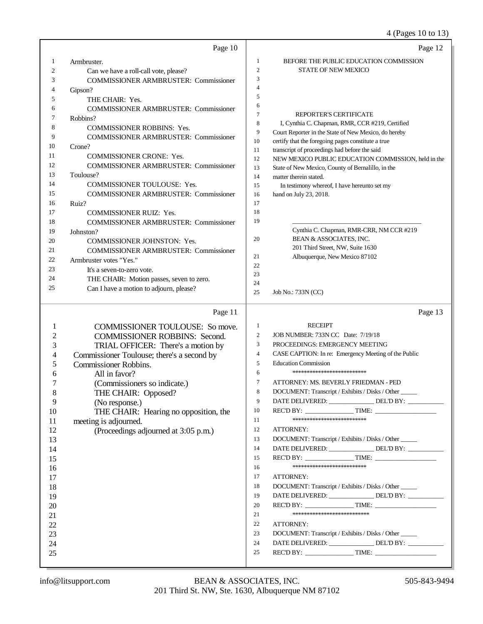4 (Pages 10 to 13)

|                                    | Page 10                                      |                  | Page 12                                                                                                    |
|------------------------------------|----------------------------------------------|------------------|------------------------------------------------------------------------------------------------------------|
| 1                                  | Armbruster.                                  | 1                | BEFORE THE PUBLIC EDUCATION COMMISSION                                                                     |
| 2                                  | Can we have a roll-call vote, please?        | $\mathfrak{2}$   | <b>STATE OF NEW MEXICO</b>                                                                                 |
| 3                                  | <b>COMMISSIONER ARMBRUSTER: Commissioner</b> | 3                |                                                                                                            |
| 4                                  | Gipson?                                      | 4                |                                                                                                            |
| 5                                  | THE CHAIR: Yes.                              | 5                |                                                                                                            |
| 6                                  | <b>COMMISSIONER ARMBRUSTER: Commissioner</b> | 6                |                                                                                                            |
| 7                                  | Robbins?                                     | 7                | REPORTER'S CERTIFICATE                                                                                     |
| 8                                  | COMMISSIONER ROBBINS: Yes.                   | 8                | I, Cynthia C. Chapman, RMR, CCR #219, Certified                                                            |
| 9                                  | <b>COMMISSIONER ARMBRUSTER: Commissioner</b> | 9                | Court Reporter in the State of New Mexico, do hereby<br>certify that the foregoing pages constitute a true |
| 10                                 | Crone?                                       | 10<br>11         | transcript of proceedings had before the said                                                              |
| 11                                 | COMMISSIONER CRONE: Yes.                     | 12               | NEW MEXICO PUBLIC EDUCATION COMMISSION, held in the                                                        |
| 12                                 | <b>COMMISSIONER ARMBRUSTER: Commissioner</b> | 13               | State of New Mexico, County of Bernalillo, in the                                                          |
| 13                                 | Toulouse?                                    | 14               | matter therein stated.                                                                                     |
| 14                                 | COMMISSIONER TOULOUSE: Yes.                  | 15               | In testimony whereof, I have hereunto set my                                                               |
| 15                                 | <b>COMMISSIONER ARMBRUSTER: Commissioner</b> | 16               | hand on July 23, 2018.                                                                                     |
| 16                                 | Ruiz?                                        | 17               |                                                                                                            |
| 17                                 | <b>COMMISSIONER RUIZ: Yes.</b>               | 18               |                                                                                                            |
| 18                                 | <b>COMMISSIONER ARMBRUSTER: Commissioner</b> | 19               |                                                                                                            |
| 19                                 | Johnston?                                    |                  | Cynthia C. Chapman, RMR-CRR, NM CCR #219                                                                   |
| 20                                 | COMMISSIONER JOHNSTON: Yes.                  | 20               | BEAN & ASSOCIATES, INC.                                                                                    |
| 21                                 | COMMISSIONER ARMBRUSTER: Commissioner        |                  | 201 Third Street, NW, Suite 1630                                                                           |
| 22                                 | Armbruster votes "Yes."                      | 21               | Albuquerque, New Mexico 87102                                                                              |
| 23                                 | It's a seven-to-zero vote.                   | 22               |                                                                                                            |
| 24                                 | THE CHAIR: Motion passes, seven to zero.     | 23               |                                                                                                            |
| 25                                 | Can I have a motion to adjourn, please?      | 24<br>25         | Job No.: 733N (CC)                                                                                         |
|                                    |                                              |                  |                                                                                                            |
|                                    | Page 11                                      |                  | Page 13                                                                                                    |
| 1                                  | <b>COMMISSIONER TOULOUSE:</b> So move.       | $\mathbf{1}$     | <b>RECEIPT</b>                                                                                             |
| $\overline{c}$                     | <b>COMMISSIONER ROBBINS: Second.</b>         | $\boldsymbol{2}$ | JOB NUMBER: 733N CC Date: 7/19/18                                                                          |
| 3                                  | TRIAL OFFICER: There's a motion by           | $\mathfrak{Z}$   | PROCEEDINGS: EMERGENCY MEETING                                                                             |
| 4                                  | Commissioner Toulouse; there's a second by   | 4                | CASE CAPTION: In re: Emergency Meeting of the Public                                                       |
| 5                                  | Commissioner Robbins.                        | 5                | <b>Education Commission</b>                                                                                |
| 6                                  | All in favor?                                | 6                | *************************                                                                                  |
| 7                                  | (Commissioners so indicate.)                 | 7                | ATTORNEY: MS. BEVERLY FRIEDMAN - PED                                                                       |
| $\overline{\mathbf{x}}$<br>$\circ$ | THE CHAIR: Opposed?                          | 8                | DOCUMENT: Transcript / Exhibits / Disks / Other                                                            |
| 9                                  | (No response.)                               | 9                | DATE DELIVERED: ________________ DEL'D BY: __________                                                      |
| 10                                 | THE CHAIR: Hearing no opposition, the        | 10               |                                                                                                            |
| 11                                 | meeting is adjourned.                        | 11               | **************************                                                                                 |
| 12                                 | (Proceedings adjourned at 3:05 p.m.)         | 12               | ATTORNEY:                                                                                                  |
| 13                                 |                                              |                  |                                                                                                            |
|                                    |                                              | 13               | DOCUMENT: Transcript / Exhibits / Disks / Other                                                            |
| 14                                 |                                              | 14               | DATE DELIVERED: DEL'D BY:                                                                                  |
| 15                                 |                                              | 15               | REC'D BY: TIME:                                                                                            |
| 16                                 |                                              | 16               | **************************                                                                                 |
| 17                                 |                                              | 17               | ATTORNEY:                                                                                                  |
| 18                                 |                                              | 18               | DOCUMENT: Transcript / Exhibits / Disks / Other                                                            |
| 19                                 |                                              | 19               | DATE DELIVERED: _______________DEL'D BY: ___________                                                       |
| 20                                 |                                              | 20               | REC'D BY: TIME:                                                                                            |
| 21                                 |                                              | 21               | ***************************                                                                                |
| 22                                 |                                              | 22               | ATTORNEY:                                                                                                  |
| 23                                 |                                              | 23               | DOCUMENT: Transcript / Exhibits / Disks / Other                                                            |
| 24                                 |                                              | 24               | DATE DELIVERED: _______________DEL'D BY: ___________                                                       |
| 25                                 |                                              | 25               |                                                                                                            |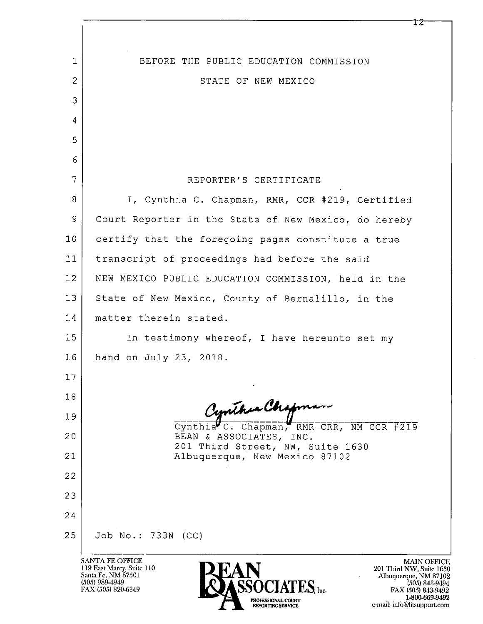| $\mathbf 1$  | BEFORE THE PUBLIC EDUCATION COMMISSION                                                                                           |
|--------------|----------------------------------------------------------------------------------------------------------------------------------|
| $\mathbf{2}$ | STATE OF NEW MEXICO                                                                                                              |
| 3            |                                                                                                                                  |
| 4            |                                                                                                                                  |
| 5            |                                                                                                                                  |
| 6            |                                                                                                                                  |
| 7            | REPORTER'S CERTIFICATE                                                                                                           |
| 8            | I, Cynthia C. Chapman, RMR, CCR #219, Certified                                                                                  |
| 9            | Court Reporter in the State of New Mexico, do hereby                                                                             |
| 10           | certify that the foregoing pages constitute a true                                                                               |
| 11           | transcript of proceedings had before the said                                                                                    |
| 12           | NEW MEXICO PUBLIC EDUCATION COMMISSION, held in the                                                                              |
| 13           | State of New Mexico, County of Bernalillo, in the                                                                                |
| 14           | matter therein stated.                                                                                                           |
| 15           | In testimony whereof, I have hereunto set my                                                                                     |
| 16           | hand on July 23, 2018.                                                                                                           |
| 17           |                                                                                                                                  |
| 18           |                                                                                                                                  |
| 19           | Cynthia Chapman RMR-CRR, NM CCR #219                                                                                             |
| 20           | BEAN & ASSOCIATES, INC.                                                                                                          |
| 21           | 201 Third Street, NW, Suite 1630<br>Albuquerque, New Mexico 87102                                                                |
| 22           |                                                                                                                                  |
| 23           |                                                                                                                                  |
| 24           |                                                                                                                                  |
| 25           | Job No.: 733N (CC)                                                                                                               |
|              | SANTA FE OFFICE<br><b>MAIN OF</b><br>119 East Marcy, Suite 110<br>201 Third NW, Suite<br>Santa Fe, NM 87501<br>Albuquerque, NM 8 |

(505) 989-4949<br>FAX (505) 820-6349

 $\widehat{\textbf{SSOCIATES}}_{\text{inc.}}$ PROFESSIONAL COURT<br>REPORTING SERVICE

MAIN OFFICE<br>
201 Third NW, Suite 1630<br>
Albuquerque, NM 87102<br>
(505) 843-9494<br>
FAX (505) 843-9492<br>
1-800-669-9492<br>
e-mail: info@litsupport.com

 $\overline{12}$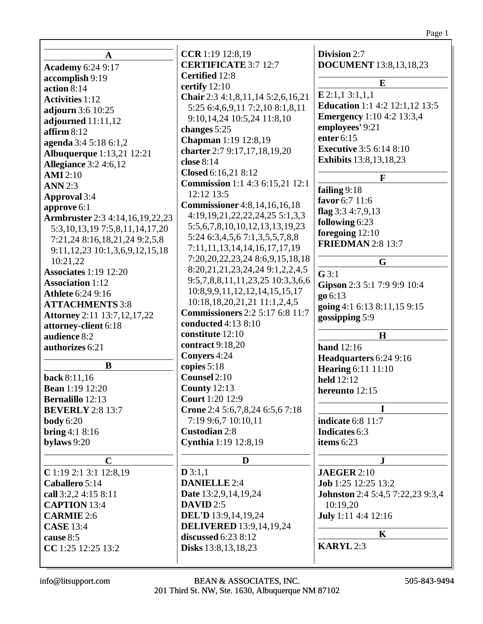|                                        | CCR 1:19 12:8,19                           | Division 2:7                            |
|----------------------------------------|--------------------------------------------|-----------------------------------------|
| A                                      | <b>CERTIFICATE 3:7 12:7</b>                | <b>DOCUMENT</b> 13:8,13,18,23           |
| <b>Academy 6:24 9:17</b>               | Certified 12:8                             |                                         |
| accomplish 9:19                        | certify 12:10                              | E                                       |
| action 8:14                            | Chair 2:3 4:1,8,11,14 5:2,6,16,21          | E 2:1,1 3:1,1,1                         |
| <b>Activities</b> 1:12                 | 5:25 6:4,6,9,11 7:2,10 8:1,8,11            | <b>Education</b> 1:1 4:2 12:1,12 13:5   |
| adjourn 3:6 10:25                      | 9:10, 14, 24 10: 5, 24 11: 8, 10           | <b>Emergency</b> 1:10 4:2 13:3,4        |
| adjourned $11:11,12$                   | changes 5:25                               | employees' 9:21                         |
| affirm $8:12$                          | Chapman 1:19 12:8,19                       | enter 6:15                              |
| agenda 3:4 5:18 6:1,2                  |                                            | <b>Executive 3:5 6:14 8:10</b>          |
| <b>Albuquerque</b> 1:13,21 12:21       | charter 2:7 9:17,17,18,19,20<br>close 8:14 | <b>Exhibits</b> 13:8, 13, 18, 23        |
| <b>Allegiance</b> 3:2 4:6,12           |                                            |                                         |
| <b>AMI</b> 2:10                        | Closed 6:16,21 8:12                        | F                                       |
| <b>ANN</b> 2:3                         | <b>Commission</b> 1:1 4:3 6:15,21 12:1     | failing 9:18                            |
| <b>Approval</b> 3:4                    | 12:12 13:5                                 | favor 6:7 11:6                          |
| approve 6:1                            | <b>Commissioner</b> 4:8,14,16,16,18        | flag $3:34:7,9,13$                      |
| <b>Armbruster</b> 2:3 4:14,16,19,22,23 | 4:19, 19, 21, 22, 22, 24, 25 5:1, 3, 3     | following 6:23                          |
| 5:3, 10, 13, 19 7:5, 8, 11, 14, 17, 20 | 5:5,6,7,8,10,10,12,13,13,19,23             | foregoing 12:10                         |
| 7:21,24 8:16,18,21,24 9:2,5,8          | 5:24 6:3,4,5,6 7:1,3,5,5,7,8,8             | <b>FRIEDMAN 2:8 13:7</b>                |
| 9:11, 12, 23 10:1, 3, 6, 9, 12, 15, 18 | 7:11,11,13,14,14,16,17,17,19               |                                         |
| 10:21,22                               | 7:20, 20, 22, 23, 24 8:6, 9, 15, 18, 18    | G                                       |
| <b>Associates 1:19 12:20</b>           | 8:20, 21, 21, 23, 24, 24 9:1, 2, 2, 4, 5   | $G$ 3:1                                 |
| <b>Association</b> 1:12                | 9:5,7,8,8,11,11,23,25 10:3,3,6,6           | Gipson 2:3 5:1 7:9 9:9 10:4             |
| <b>Athlete</b> 6:24 9:16               | 10:8,9,9,11,12,12,14,15,15,17              | go 6:13                                 |
| <b>ATTACHMENTS 3:8</b>                 | $10:18,18,20,21,21$ $11:1,2,4,5$           | going 4:1 6:13 8:11,15 9:15             |
| <b>Attorney</b> 2:11 13:7,12,17,22     | <b>Commissioners</b> 2:2 5:17 6:8 11:7     | gossipping 5:9                          |
| attorney-client 6:18                   | conducted 4:13 8:10                        |                                         |
| audience 8:2                           | constitute 12:10                           | H                                       |
| authorizes 6:21                        | contract 9:18,20                           | <b>hand</b> 12:16                       |
|                                        | Conyers 4:24                               | Headquarters 6:24 9:16                  |
| B                                      | copies $5:18$                              | <b>Hearing 6:11 11:10</b>               |
| back 8:11,16                           | Counsel 2:10                               | <b>held</b> 12:12                       |
| <b>Bean</b> 1:19 12:20                 | <b>County 12:13</b>                        | hereunto 12:15                          |
| <b>Bernalillo</b> 12:13                | <b>Court</b> 1:20 12:9                     |                                         |
| <b>BEVERLY</b> 2:8 13:7                | Crone 2:4 5:6,7,8,24 6:5,6 7:18            |                                         |
| <b>body</b> 6:20                       | 7:19 9:6,7 10:10,11                        | <b>indicate</b> 6:8 11:7                |
| bring $4:18:16$                        | <b>Custodian 2:8</b>                       | <b>Indicates</b> 6:3                    |
| bylaws 9:20                            | Cynthia 1:19 12:8,19                       | items $6:23$                            |
| $\mathbf C$                            | D                                          | $\mathbf{J}$                            |
| $C$ 1:19 2:1 3:1 12:8,19               | D3:1,1                                     | <b>JAEGER 2:10</b>                      |
| Caballero 5:14                         | <b>DANIELLE 2:4</b>                        | Job 1:25 12:25 13:2                     |
| call 3:2,2 4:15 8:11                   | <b>Date</b> 13:2,9,14,19,24                | <b>Johnston</b> 2:4 5:4,5 7:22,23 9:3,4 |
| <b>CAPTION 13:4</b>                    | DAVID $2:5$                                | 10:19,20                                |
| <b>CARMIE</b> 2:6                      | DEL'D 13:9,14,19,24                        | July 1:11 4:4 12:16                     |
| <b>CASE</b> 13:4                       | <b>DELIVERED</b> 13:9,14,19,24             |                                         |
| cause 8:5                              | <b>discussed</b> 6:23 8:12                 | $\bf K$                                 |
| CC 1:25 12:25 13:2                     | <b>Disks</b> 13:8, 13, 18, 23              | <b>KARYL</b> 2:3                        |
|                                        |                                            |                                         |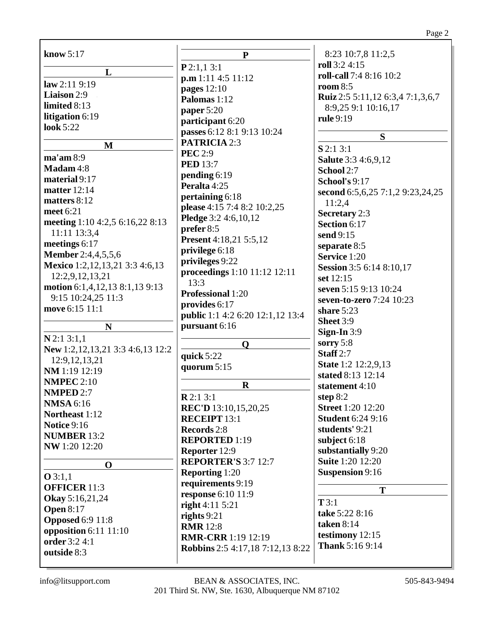| know $5:17$                          | $\mathbf{P}$                            | 8:23 10:7,8 11:2,5                            |
|--------------------------------------|-----------------------------------------|-----------------------------------------------|
|                                      | P2:1,13:1                               | roll 3:2 4:15                                 |
| L                                    | p.m 1:11 4:5 11:12                      | roll-call 7:4 8:16 10:2                       |
| law 2:119:19                         | pages 12:10                             | room $8:5$                                    |
| Liaison 2:9                          | Palomas 1:12                            | Ruiz 2:5 5:11,12 6:3,4 7:1,3,6,7              |
| limited 8:13                         | paper $5:20$                            | 8:9,25 9:1 10:16,17                           |
| litigation 6:19                      | participant 6:20                        | <b>rule</b> 9:19                              |
| <b>look</b> 5:22                     | passes 6:12 8:1 9:13 10:24              |                                               |
|                                      | <b>PATRICIA 2:3</b>                     | S                                             |
| $\mathbf{M}$                         | <b>PEC</b> 2:9                          | $S$ 2:1 3:1                                   |
| $ma'$ am 8:9                         | <b>PED</b> 13:7                         | <b>Salute</b> 3:3 4:6,9,12                    |
| Madam 4:8                            | pending 6:19                            | School 2:7                                    |
| material 9:17                        | Peralta 4:25                            | School's 9:17                                 |
| <b>matter</b> 12:14                  | pertaining 6:18                         | second 6:5,6,25 7:1,2 9:23,24,25              |
| matters 8:12                         |                                         | 11:2,4                                        |
| meet 6:21                            | please 4:15 7:4 8:2 10:2,25             | <b>Secretary 2:3</b>                          |
| meeting 1:10 4:2,5 6:16,22 8:13      | Pledge 3:2 4:6,10,12                    | Section 6:17                                  |
| 11:11 13:3,4                         | prefer 8:5                              | send 9:15                                     |
| meetings 6:17                        | <b>Present</b> 4:18,21 5:5,12           | separate 8:5                                  |
| <b>Member</b> 2:4,4,5,5,6            | privilege 6:18                          | Service 1:20                                  |
| Mexico 1:2,12,13,21 3:3 4:6,13       | privileges 9:22                         | Session 3:5 6:14 8:10,17                      |
| 12:2,9,12,13,21                      | proceedings 1:10 11:12 12:11            | set 12:15                                     |
| motion 6:1,4,12,13 8:1,13 9:13       | 13:3                                    | seven 5:15 9:13 10:24                         |
| 9:15 10:24,25 11:3                   | Professional 1:20                       | seven-to-zero 7:24 10:23                      |
| move 6:15 11:1                       | provides 6:17                           | share $5:23$                                  |
|                                      | <b>public</b> 1:1 4:2 6:20 12:1,12 13:4 | Sheet 3:9                                     |
| N                                    | pursuant 6:16                           | Sign-In $3:9$                                 |
| $N$ 2:1 3:1,1                        | $\mathbf 0$                             | sorry 5:8                                     |
| New 1:2, 12, 13, 21 3:3 4:6, 13 12:2 |                                         | Staff $2:7$                                   |
| 12:9, 12, 13, 21                     | quick 5:22                              | <b>State</b> 1:2 12:2,9,13                    |
| NM 1:19 12:19                        | quorum 5:15                             | stated 8:13 12:14                             |
| <b>NMPEC 2:10</b>                    | $\mathbf R$                             | statement 4:10                                |
| <b>NMPED 2:7</b>                     | R2:13:1                                 | step $8:2$                                    |
| <b>NMSA</b> 6:16                     | REC'D 13:10,15,20,25                    | <b>Street</b> 1:20 12:20                      |
| Northeast 1:12                       |                                         | <b>Student 6:24 9:16</b>                      |
| <b>Notice 9:16</b>                   | <b>RECEIPT 13:1</b>                     | students' 9:21                                |
| <b>NUMBER 13:2</b>                   | Records 2:8                             |                                               |
| NW 1:20 12:20                        | <b>REPORTED 1:19</b>                    | subject 6:18                                  |
|                                      | Reporter 12:9                           | substantially 9:20<br><b>Suite 1:20 12:20</b> |
| $\mathbf 0$                          | <b>REPORTER'S 3:7 12:7</b>              |                                               |
| Q3:1,1                               | <b>Reporting 1:20</b>                   | <b>Suspension 9:16</b>                        |
| <b>OFFICER 11:3</b>                  | requirements 9:19                       | T                                             |
| Okay 5:16,21,24                      | <b>response</b> 6:10 11:9               | T3:1                                          |
| <b>Open 8:17</b>                     | right $4:11\,5:21$                      | take 5:22 8:16                                |
| <b>Opposed 6:9 11:8</b>              | rights $9:21$                           | <b>taken</b> 8:14                             |
| opposition $6:11$ $11:10$            | <b>RMR</b> 12:8                         | testimony 12:15                               |
| order 3:2 4:1                        | <b>RMR-CRR</b> 1:19 12:19               | Thank 5:16 9:14                               |
| outside 8:3                          | <b>Robbins</b> 2:5 4:17,18 7:12,13 8:22 |                                               |
|                                      |                                         |                                               |